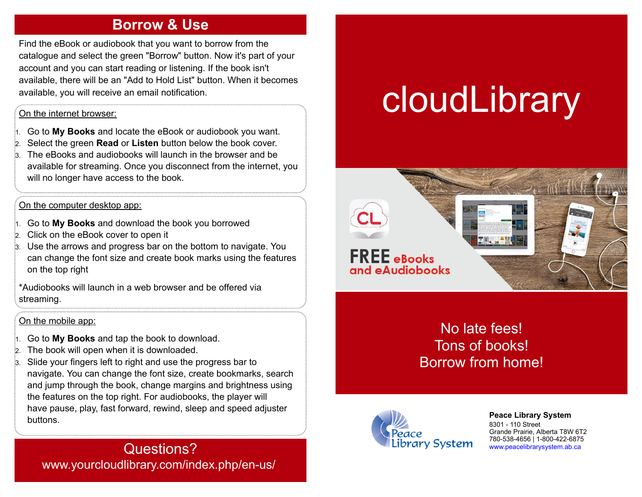### **Borrow & Use**

Find the eBook or audiobook that you want to borrow from the catalogue and select the green "Borrow" button. Now it's part of your account and you can start reading or listening. If the book isn't available, there will be an "Add to Hold List" button. When it becomes available, you will receive an email notification.

#### On the internet browser:

1. Go to **My Books** and locate the eBook or audiobook you want.

- 2. Select the green **Read** or **Listen** button below the book cover.
- The eBooks and audiobooks will launch in the browser and be available for streaming. Once you disconnect from the internet, you will no longer have access to the book.

#### On the computer desktop app:

- 1. Go to **My Books** and download the book you borrowed
- 2. Click on the eBook cover to open it
- Use the arrows and progress bar on the bottom to navigate. You can change the font size and create book marks using the features on the top right

\*Audiobooks will launch in a web browser and be offered via streaming.

#### On the mobile app:

- 1. Go to **My Books** and tap the book to download.
- The book will open when it is downloaded.
- Slide your fingers left to right and use the progress bar to navigate. You can change the font size, create bookmarks, search and jump through the book, change margins and brightness using the features on the top right. For audiobooks, the player will have pause, play, fast forward, rewind, sleep and speed adjuster buttons.

Questions? www.yourcloudlibrary.com/index.php/en-us/

# cloudLibrary



## No late fees! Tons of books! Borrow from home!



**[P](http://4la.co/1KCGER)eace Library System** [8](http://4la.co/1KCGER)301 - 110 Street Grande Prairie, Alberta T8W 6T2 780-538-4656 | 1-800-422-6875 [www.peacelibrarysystem.ab.ca](http://4la.co/1KCGER)